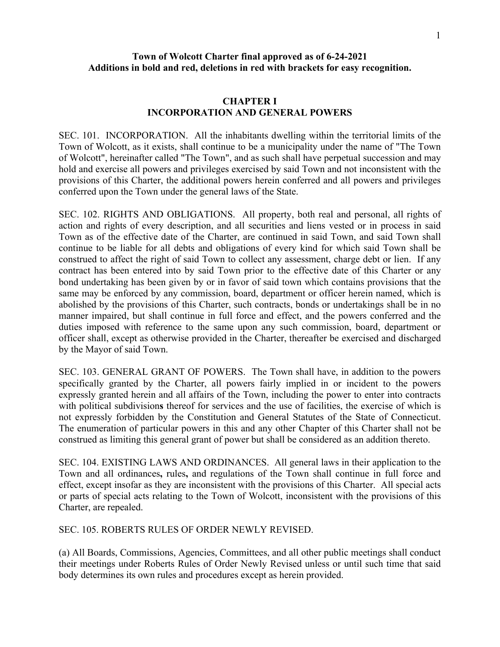# **Town of Wolcott Charter final approved as of 6-24-2021 Additions in bold and red, deletions in red with brackets for easy recognition.**

### **CHAPTER I INCORPORATION AND GENERAL POWERS**

SEC. 101. INCORPORATION. All the inhabitants dwelling within the territorial limits of the Town of Wolcott, as it exists, shall continue to be a municipality under the name of "The Town of Wolcott", hereinafter called "The Town", and as such shall have perpetual succession and may hold and exercise all powers and privileges exercised by said Town and not inconsistent with the provisions of this Charter, the additional powers herein conferred and all powers and privileges conferred upon the Town under the general laws of the State.

SEC. 102. RIGHTS AND OBLIGATIONS. All property, both real and personal, all rights of action and rights of every description, and all securities and liens vested or in process in said Town as of the effective date of the Charter, are continued in said Town, and said Town shall continue to be liable for all debts and obligations of every kind for which said Town shall be construed to affect the right of said Town to collect any assessment, charge debt or lien. If any contract has been entered into by said Town prior to the effective date of this Charter or any bond undertaking has been given by or in favor of said town which contains provisions that the same may be enforced by any commission, board, department or officer herein named, which is abolished by the provisions of this Charter, such contracts, bonds or undertakings shall be in no manner impaired, but shall continue in full force and effect, and the powers conferred and the duties imposed with reference to the same upon any such commission, board, department or officer shall, except as otherwise provided in the Charter, thereafter be exercised and discharged by the Mayor of said Town.

SEC. 103. GENERAL GRANT OF POWERS. The Town shall have, in addition to the powers specifically granted by the Charter, all powers fairly implied in or incident to the powers expressly granted herein and all affairs of the Town, including the power to enter into contracts with political subdivision**s** thereof for services and the use of facilities, the exercise of which is not expressly forbidden by the Constitution and General Statutes of the State of Connecticut. The enumeration of particular powers in this and any other Chapter of this Charter shall not be construed as limiting this general grant of power but shall be considered as an addition thereto.

SEC. 104. EXISTING LAWS AND ORDINANCES. All general laws in their application to the Town and all ordinances**,** rules**,** and regulations of the Town shall continue in full force and effect, except insofar as they are inconsistent with the provisions of this Charter. All special acts or parts of special acts relating to the Town of Wolcott, inconsistent with the provisions of this Charter, are repealed.

SEC. 105. ROBERTS RULES OF ORDER NEWLY REVISED.

(a) All Boards, Commissions, Agencies, Committees, and all other public meetings shall conduct their meetings under Roberts Rules of Order Newly Revised unless or until such time that said body determines its own rules and procedures except as herein provided.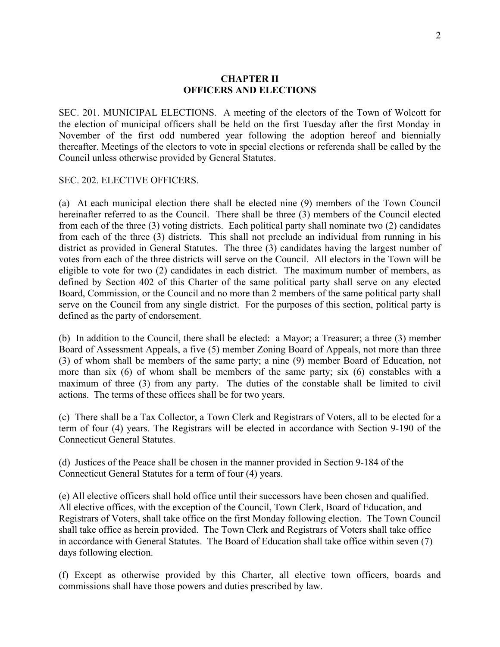### **CHAPTER II OFFICERS AND ELECTIONS**

SEC. 201. MUNICIPAL ELECTIONS. A meeting of the electors of the Town of Wolcott for the election of municipal officers shall be held on the first Tuesday after the first Monday in November of the first odd numbered year following the adoption hereof and biennially thereafter. Meetings of the electors to vote in special elections or referenda shall be called by the Council unless otherwise provided by General Statutes.

### SEC. 202. ELECTIVE OFFICERS.

(a) At each municipal election there shall be elected nine (9) members of the Town Council hereinafter referred to as the Council. There shall be three (3) members of the Council elected from each of the three (3) voting districts. Each political party shall nominate two (2) candidates from each of the three (3) districts. This shall not preclude an individual from running in his district as provided in General Statutes. The three (3) candidates having the largest number of votes from each of the three districts will serve on the Council. All electors in the Town will be eligible to vote for two (2) candidates in each district. The maximum number of members, as defined by Section 402 of this Charter of the same political party shall serve on any elected Board, Commission, or the Council and no more than 2 members of the same political party shall serve on the Council from any single district. For the purposes of this section, political party is defined as the party of endorsement.

(b) In addition to the Council, there shall be elected: a Mayor; a Treasurer; a three (3) member Board of Assessment Appeals, a five (5) member Zoning Board of Appeals, not more than three (3) of whom shall be members of the same party; a nine (9) member Board of Education, not more than six (6) of whom shall be members of the same party; six (6) constables with a maximum of three (3) from any party. The duties of the constable shall be limited to civil actions. The terms of these offices shall be for two years.

(c) There shall be a Tax Collector, a Town Clerk and Registrars of Voters, all to be elected for a term of four (4) years. The Registrars will be elected in accordance with Section 9-190 of the Connecticut General Statutes.

(d) Justices of the Peace shall be chosen in the manner provided in Section 9-184 of the Connecticut General Statutes for a term of four (4) years.

(e) All elective officers shall hold office until their successors have been chosen and qualified. All elective offices, with the exception of the Council, Town Clerk, Board of Education, and Registrars of Voters, shall take office on the first Monday following election. The Town Council shall take office as herein provided. The Town Clerk and Registrars of Voters shall take office in accordance with General Statutes. The Board of Education shall take office within seven (7) days following election.

(f) Except as otherwise provided by this Charter, all elective town officers, boards and commissions shall have those powers and duties prescribed by law.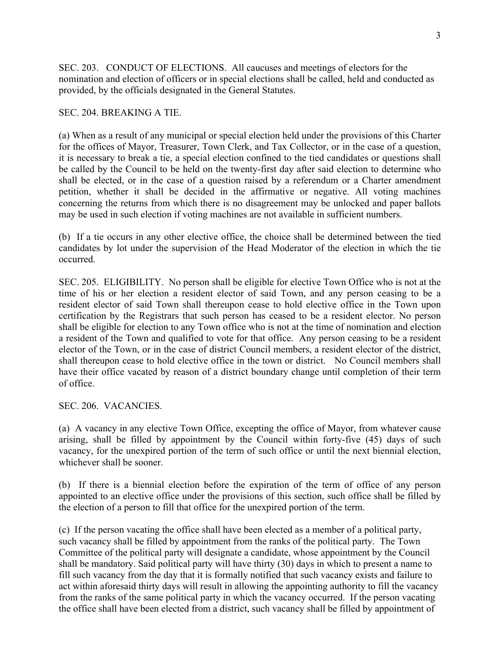SEC. 203. CONDUCT OF ELECTIONS. All caucuses and meetings of electors for the nomination and election of officers or in special elections shall be called, held and conducted as provided, by the officials designated in the General Statutes.

#### SEC. 204. BREAKING A TIE.

(a) When as a result of any municipal or special election held under the provisions of this Charter for the offices of Mayor, Treasurer, Town Clerk, and Tax Collector, or in the case of a question, it is necessary to break a tie, a special election confined to the tied candidates or questions shall be called by the Council to be held on the twenty-first day after said election to determine who shall be elected, or in the case of a question raised by a referendum or a Charter amendment petition, whether it shall be decided in the affirmative or negative. All voting machines concerning the returns from which there is no disagreement may be unlocked and paper ballots may be used in such election if voting machines are not available in sufficient numbers.

(b) If a tie occurs in any other elective office, the choice shall be determined between the tied candidates by lot under the supervision of the Head Moderator of the election in which the tie occurred.

SEC. 205. ELIGIBILITY. No person shall be eligible for elective Town Office who is not at the time of his or her election a resident elector of said Town, and any person ceasing to be a resident elector of said Town shall thereupon cease to hold elective office in the Town upon certification by the Registrars that such person has ceased to be a resident elector. No person shall be eligible for election to any Town office who is not at the time of nomination and election a resident of the Town and qualified to vote for that office. Any person ceasing to be a resident elector of the Town, or in the case of district Council members, a resident elector of the district, shall thereupon cease to hold elective office in the town or district. No Council members shall have their office vacated by reason of a district boundary change until completion of their term of office.

SEC. 206. VACANCIES.

(a) A vacancy in any elective Town Office, excepting the office of Mayor, from whatever cause arising, shall be filled by appointment by the Council within forty-five (45) days of such vacancy, for the unexpired portion of the term of such office or until the next biennial election, whichever shall be sooner.

(b) If there is a biennial election before the expiration of the term of office of any person appointed to an elective office under the provisions of this section, such office shall be filled by the election of a person to fill that office for the unexpired portion of the term.

(c) If the person vacating the office shall have been elected as a member of a political party, such vacancy shall be filled by appointment from the ranks of the political party. The Town Committee of the political party will designate a candidate, whose appointment by the Council shall be mandatory. Said political party will have thirty (30) days in which to present a name to fill such vacancy from the day that it is formally notified that such vacancy exists and failure to act within aforesaid thirty days will result in allowing the appointing authority to fill the vacancy from the ranks of the same political party in which the vacancy occurred. If the person vacating the office shall have been elected from a district, such vacancy shall be filled by appointment of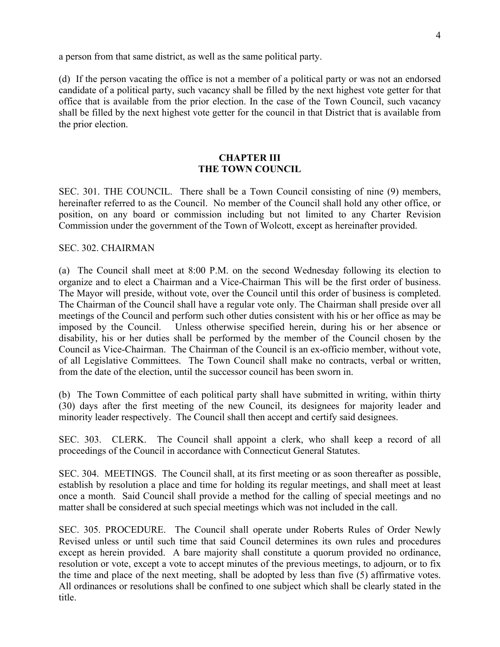a person from that same district, as well as the same political party.

(d)If the person vacating the office is not a member of a political party or was not an endorsed candidate of a political party, such vacancy shall be filled by the next highest vote getter for that office that is available from the prior election. In the case of the Town Council, such vacancy shall be filled by the next highest vote getter for the council in that District that is available from the prior election.

### **CHAPTER III THE TOWN COUNCIL**

SEC. 301. THE COUNCIL. There shall be a Town Council consisting of nine (9) members, hereinafter referred to as the Council. No member of the Council shall hold any other office, or position, on any board or commission including but not limited to any Charter Revision Commission under the government of the Town of Wolcott, except as hereinafter provided.

### SEC. 302. CHAIRMAN

(a) The Council shall meet at 8:00 P.M. on the second Wednesday following its election to organize and to elect a Chairman and a Vice-Chairman This will be the first order of business. The Mayor will preside, without vote, over the Council until this order of business is completed. The Chairman of the Council shall have a regular vote only. The Chairman shall preside over all meetings of the Council and perform such other duties consistent with his or her office as may be imposed by the Council. Unless otherwise specified herein, during his or her absence or disability, his or her duties shall be performed by the member of the Council chosen by the Council as Vice-Chairman. The Chairman of the Council is an ex-officio member, without vote, of all Legislative Committees. The Town Council shall make no contracts, verbal or written, from the date of the election, until the successor council has been sworn in.

(b) The Town Committee of each political party shall have submitted in writing, within thirty (30) days after the first meeting of the new Council, its designees for majority leader and minority leader respectively. The Council shall then accept and certify said designees.

SEC. 303. CLERK. The Council shall appoint a clerk, who shall keep a record of all proceedings of the Council in accordance with Connecticut General Statutes.

SEC. 304. MEETINGS. The Council shall, at its first meeting or as soon thereafter as possible, establish by resolution a place and time for holding its regular meetings, and shall meet at least once a month. Said Council shall provide a method for the calling of special meetings and no matter shall be considered at such special meetings which was not included in the call.

SEC. 305. PROCEDURE. The Council shall operate under Roberts Rules of Order Newly Revised unless or until such time that said Council determines its own rules and procedures except as herein provided. A bare majority shall constitute a quorum provided no ordinance, resolution or vote, except a vote to accept minutes of the previous meetings, to adjourn, or to fix the time and place of the next meeting, shall be adopted by less than five (5) affirmative votes. All ordinances or resolutions shall be confined to one subject which shall be clearly stated in the title.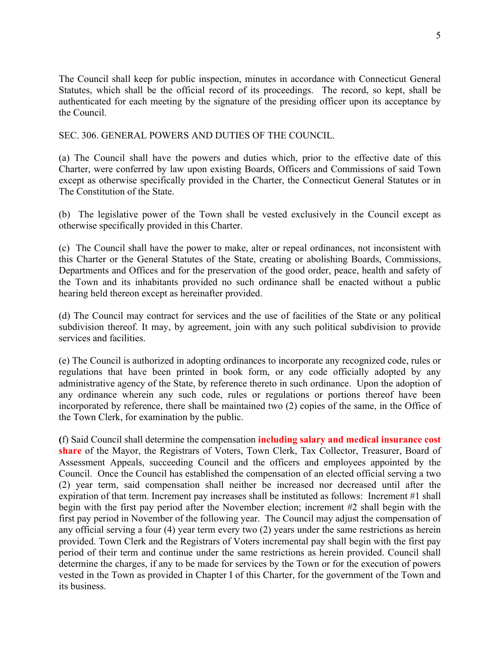The Council shall keep for public inspection, minutes in accordance with Connecticut General Statutes, which shall be the official record of its proceedings. The record, so kept, shall be authenticated for each meeting by the signature of the presiding officer upon its acceptance by the Council.

SEC. 306. GENERAL POWERS AND DUTIES OF THE COUNCIL.

(a) The Council shall have the powers and duties which, prior to the effective date of this Charter, were conferred by law upon existing Boards, Officers and Commissions of said Town except as otherwise specifically provided in the Charter, the Connecticut General Statutes or in The Constitution of the State.

(b) The legislative power of the Town shall be vested exclusively in the Council except as otherwise specifically provided in this Charter.

(c) The Council shall have the power to make, alter or repeal ordinances, not inconsistent with this Charter or the General Statutes of the State, creating or abolishing Boards, Commissions, Departments and Offices and for the preservation of the good order, peace, health and safety of the Town and its inhabitants provided no such ordinance shall be enacted without a public hearing held thereon except as hereinafter provided.

(d) The Council may contract for services and the use of facilities of the State or any political subdivision thereof. It may, by agreement, join with any such political subdivision to provide services and facilities.

(e) The Council is authorized in adopting ordinances to incorporate any recognized code, rules or regulations that have been printed in book form, or any code officially adopted by any administrative agency of the State, by reference thereto in such ordinance. Upon the adoption of any ordinance wherein any such code, rules or regulations or portions thereof have been incorporated by reference, there shall be maintained two (2) copies of the same, in the Office of the Town Clerk, for examination by the public.

**(**f) Said Council shall determine the compensation **including salary and medical insurance cost share** of the Mayor, the Registrars of Voters, Town Clerk, Tax Collector, Treasurer, Board of Assessment Appeals, succeeding Council and the officers and employees appointed by the Council. Once the Council has established the compensation of an elected official serving a two (2) year term, said compensation shall neither be increased nor decreased until after the expiration of that term. Increment pay increases shall be instituted as follows: Increment #1 shall begin with the first pay period after the November election; increment #2 shall begin with the first pay period in November of the following year. The Council may adjust the compensation of any official serving a four (4) year term every two (2) years under the same restrictions as herein provided. Town Clerk and the Registrars of Voters incremental pay shall begin with the first pay period of their term and continue under the same restrictions as herein provided. Council shall determine the charges, if any to be made for services by the Town or for the execution of powers vested in the Town as provided in Chapter I of this Charter, for the government of the Town and its business.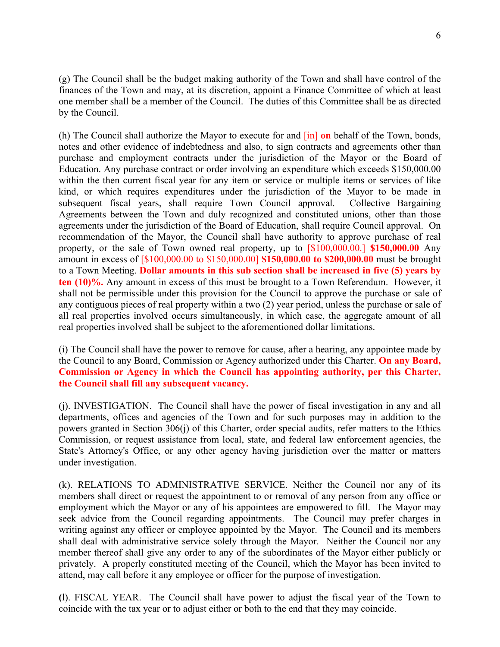(g) The Council shall be the budget making authority of the Town and shall have control of the finances of the Town and may, at its discretion, appoint a Finance Committee of which at least one member shall be a member of the Council. The duties of this Committee shall be as directed by the Council.

(h) The Council shall authorize the Mayor to execute for and [in] **on** behalf of the Town, bonds, notes and other evidence of indebtedness and also, to sign contracts and agreements other than purchase and employment contracts under the jurisdiction of the Mayor or the Board of Education. Any purchase contract or order involving an expenditure which exceeds \$150,000.00 within the then current fiscal year for any item or service or multiple items or services of like kind, or which requires expenditures under the jurisdiction of the Mayor to be made in subsequent fiscal years, shall require Town Council approval. Collective Bargaining Agreements between the Town and duly recognized and constituted unions, other than those agreements under the jurisdiction of the Board of Education, shall require Council approval. On recommendation of the Mayor, the Council shall have authority to approve purchase of real property, or the sale of Town owned real property, up to [\$100,000.00.] **\$150,000.00** Any amount in excess of [\$100,000.00 to \$150,000.00] **\$150,000.00 to \$200,000.00** must be brought to a Town Meeting. **Dollar amounts in this sub section shall be increased in five (5) years by ten (10)%.** Any amount in excess of this must be brought to a Town Referendum. However, it shall not be permissible under this provision for the Council to approve the purchase or sale of any contiguous pieces of real property within a two (2) year period, unless the purchase or sale of all real properties involved occurs simultaneously, in which case, the aggregate amount of all real properties involved shall be subject to the aforementioned dollar limitations.

(i) The Council shall have the power to remove for cause, after a hearing, any appointee made by the Council to any Board, Commission or Agency authorized under this Charter. **On any Board, Commission or Agency in which the Council has appointing authority, per this Charter, the Council shall fill any subsequent vacancy.** 

(j). INVESTIGATION. The Council shall have the power of fiscal investigation in any and all departments, offices and agencies of the Town and for such purposes may in addition to the powers granted in Section 306(j) of this Charter, order special audits, refer matters to the Ethics Commission, or request assistance from local, state, and federal law enforcement agencies, the State's Attorney's Office, or any other agency having jurisdiction over the matter or matters under investigation.

(k). RELATIONS TO ADMINISTRATIVE SERVICE. Neither the Council nor any of its members shall direct or request the appointment to or removal of any person from any office or employment which the Mayor or any of his appointees are empowered to fill. The Mayor may seek advice from the Council regarding appointments. The Council may prefer charges in writing against any officer or employee appointed by the Mayor. The Council and its members shall deal with administrative service solely through the Mayor. Neither the Council nor any member thereof shall give any order to any of the subordinates of the Mayor either publicly or privately. A properly constituted meeting of the Council, which the Mayor has been invited to attend, may call before it any employee or officer for the purpose of investigation.

**(**l). FISCAL YEAR. The Council shall have power to adjust the fiscal year of the Town to coincide with the tax year or to adjust either or both to the end that they may coincide.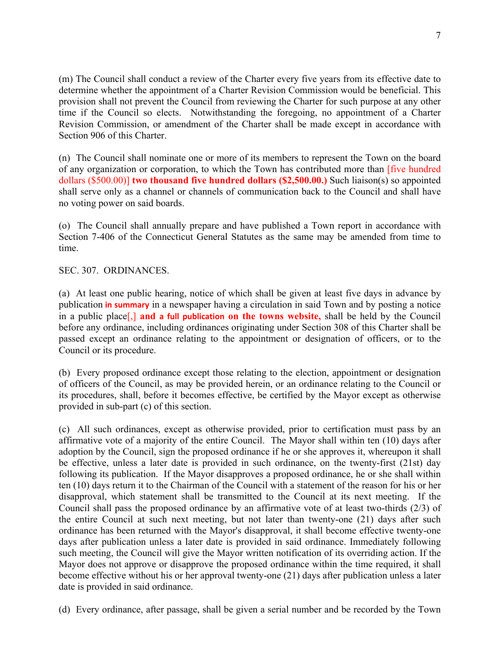(m) The Council shall conduct a review of the Charter every five years from its effective date to determine whether the appointment of a Charter Revision Commission would be beneficial. This provision shall not prevent the Council from reviewing the Charter for such purpose at any other time if the Council so elects. Notwithstanding the foregoing, no appointment of a Charter Revision Commission, or amendment of the Charter shall be made except in accordance with Section 906 of this Charter.

(n) The Council shall nominate one or more of its members to represent the Town on the board of any organization or corporation, to which the Town has contributed more than [five hundred dollars (\$500.00)] **two thousand five hundred dollars (\$2,500.00.)** Such liaison(s) so appointed shall serve only as a channel or channels of communication back to the Council and shall have no voting power on said boards.

(o) The Council shall annually prepare and have published a Town report in accordance with Section 7-406 of the Connecticut General Statutes as the same may be amended from time to time.

SEC. 307. ORDINANCES.

(a) At least one public hearing, notice of which shall be given at least five days in advance by publication **in summary** in a newspaper having a circulation in said Town and by posting a notice in a public place[,] **and a full publication on the towns website,** shall be held by the Council before any ordinance, including ordinances originating under Section 308 of this Charter shall be passed except an ordinance relating to the appointment or designation of officers, or to the Council or its procedure.

(b) Every proposed ordinance except those relating to the election, appointment or designation of officers of the Council, as may be provided herein, or an ordinance relating to the Council or its procedures, shall, before it becomes effective, be certified by the Mayor except as otherwise provided in sub-part (c) of this section.

(c) All such ordinances, except as otherwise provided, prior to certification must pass by an affirmative vote of a majority of the entire Council. The Mayor shall within ten (10) days after adoption by the Council, sign the proposed ordinance if he or she approves it, whereupon it shall be effective, unless a later date is provided in such ordinance, on the twenty-first (21st) day following its publication. If the Mayor disapproves a proposed ordinance, he or she shall within ten (10) days return it to the Chairman of the Council with a statement of the reason for his or her disapproval, which statement shall be transmitted to the Council at its next meeting. If the Council shall pass the proposed ordinance by an affirmative vote of at least two-thirds (2/3) of the entire Council at such next meeting, but not later than twenty-one (21) days after such ordinance has been returned with the Mayor's disapproval, it shall become effective twenty-one days after publication unless a later date is provided in said ordinance. Immediately following such meeting, the Council will give the Mayor written notification of its overriding action. If the Mayor does not approve or disapprove the proposed ordinance within the time required, it shall become effective without his or her approval twenty-one (21) days after publication unless a later date is provided in said ordinance.

(d) Every ordinance, after passage, shall be given a serial number and be recorded by the Town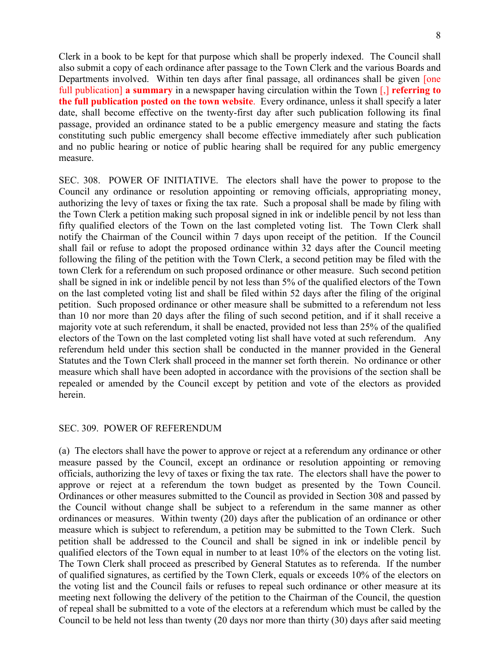Clerk in a book to be kept for that purpose which shall be properly indexed. The Council shall also submit a copy of each ordinance after passage to the Town Clerk and the various Boards and Departments involved. Within ten days after final passage, all ordinances shall be given [one] full publication] **a summary** in a newspaper having circulation within the Town [,] **referring to the full publication posted on the town website**. Every ordinance, unless it shall specify a later date, shall become effective on the twenty-first day after such publication following its final passage, provided an ordinance stated to be a public emergency measure and stating the facts constituting such public emergency shall become effective immediately after such publication and no public hearing or notice of public hearing shall be required for any public emergency measure.

SEC. 308. POWER OF INITIATIVE. The electors shall have the power to propose to the Council any ordinance or resolution appointing or removing officials, appropriating money, authorizing the levy of taxes or fixing the tax rate. Such a proposal shall be made by filing with the Town Clerk a petition making such proposal signed in ink or indelible pencil by not less than fifty qualified electors of the Town on the last completed voting list. The Town Clerk shall notify the Chairman of the Council within 7 days upon receipt of the petition. If the Council shall fail or refuse to adopt the proposed ordinance within 32 days after the Council meeting following the filing of the petition with the Town Clerk, a second petition may be filed with the town Clerk for a referendum on such proposed ordinance or other measure. Such second petition shall be signed in ink or indelible pencil by not less than 5% of the qualified electors of the Town on the last completed voting list and shall be filed within 52 days after the filing of the original petition. Such proposed ordinance or other measure shall be submitted to a referendum not less than 10 nor more than 20 days after the filing of such second petition, and if it shall receive a majority vote at such referendum, it shall be enacted, provided not less than 25% of the qualified electors of the Town on the last completed voting list shall have voted at such referendum. Any referendum held under this section shall be conducted in the manner provided in the General Statutes and the Town Clerk shall proceed in the manner set forth therein. No ordinance or other measure which shall have been adopted in accordance with the provisions of the section shall be repealed or amended by the Council except by petition and vote of the electors as provided herein.

#### SEC. 309. POWER OF REFERENDUM

(a) The electors shall have the power to approve or reject at a referendum any ordinance or other measure passed by the Council, except an ordinance or resolution appointing or removing officials, authorizing the levy of taxes or fixing the tax rate. The electors shall have the power to approve or reject at a referendum the town budget as presented by the Town Council. Ordinances or other measures submitted to the Council as provided in Section 308 and passed by the Council without change shall be subject to a referendum in the same manner as other ordinances or measures. Within twenty (20) days after the publication of an ordinance or other measure which is subject to referendum, a petition may be submitted to the Town Clerk. Such petition shall be addressed to the Council and shall be signed in ink or indelible pencil by qualified electors of the Town equal in number to at least 10% of the electors on the voting list. The Town Clerk shall proceed as prescribed by General Statutes as to referenda. If the number of qualified signatures, as certified by the Town Clerk, equals or exceeds 10% of the electors on the voting list and the Council fails or refuses to repeal such ordinance or other measure at its meeting next following the delivery of the petition to the Chairman of the Council, the question of repeal shall be submitted to a vote of the electors at a referendum which must be called by the Council to be held not less than twenty (20 days nor more than thirty (30) days after said meeting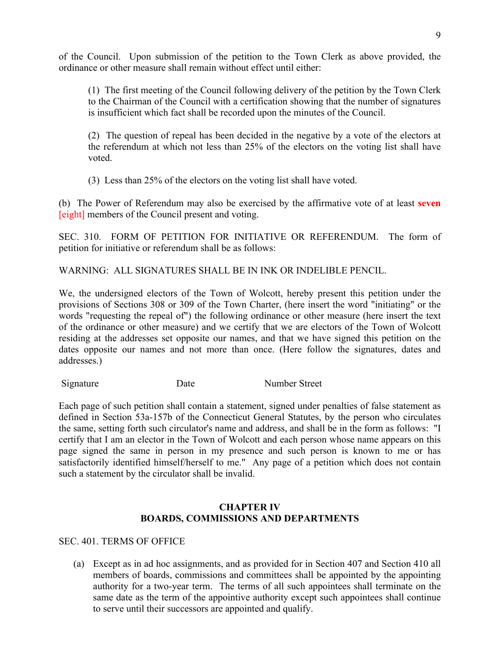of the Council. Upon submission of the petition to the Town Clerk as above provided, the ordinance or other measure shall remain without effect until either:

(1) The first meeting of the Council following delivery of the petition by the Town Clerk to the Chairman of the Council with a certification showing that the number of signatures is insufficient which fact shall be recorded upon the minutes of the Council.

(2) The question of repeal has been decided in the negative by a vote of the electors at the referendum at which not less than 25% of the electors on the voting list shall have voted.

(3) Less than 25% of the electors on the voting list shall have voted.

(b) The Power of Referendum may also be exercised by the affirmative vote of at least **seven** [eight] members of the Council present and voting.

SEC. 310. FORM OF PETITION FOR INITIATIVE OR REFERENDUM. The form of petition for initiative or referendum shall be as follows:

WARNING: ALL SIGNATURES SHALL BE IN INK OR INDELIBLE PENCIL.

We, the undersigned electors of the Town of Wolcott, hereby present this petition under the provisions of Sections 308 or 309 of the Town Charter, (here insert the word "initiating" or the words "requesting the repeal of") the following ordinance or other measure (here insert the text of the ordinance or other measure) and we certify that we are electors of the Town of Wolcott residing at the addresses set opposite our names, and that we have signed this petition on the dates opposite our names and not more than once. (Here follow the signatures, dates and addresses.)

Signature Date Number Street

Each page of such petition shall contain a statement, signed under penalties of false statement as defined in Section 53a-157b of the Connecticut General Statutes, by the person who circulates the same, setting forth such circulator's name and address, and shall be in the form as follows: "I certify that I am an elector in the Town of Wolcott and each person whose name appears on this page signed the same in person in my presence and such person is known to me or has satisfactorily identified himself/herself to me." Any page of a petition which does not contain such a statement by the circulator shall be invalid.

# **CHAPTER IV BOARDS, COMMISSIONS AND DEPARTMENTS**

# SEC. 401. TERMS OF OFFICE

(a) Except as in ad hoc assignments, and as provided for in Section 407 and Section 410 all members of boards, commissions and committees shall be appointed by the appointing authority for a two-year term. The terms of all such appointees shall terminate on the same date as the term of the appointive authority except such appointees shall continue to serve until their successors are appointed and qualify.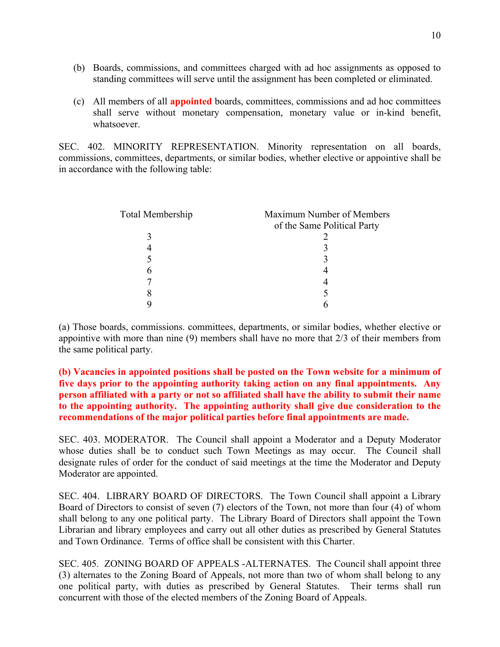- (b) Boards, commissions, and committees charged with ad hoc assignments as opposed to standing committees will serve until the assignment has been completed or eliminated.
- (c) All members of all **appointed** boards, committees, commissions and ad hoc committees shall serve without monetary compensation, monetary value or in-kind benefit, whatsoever.

SEC. 402. MINORITY REPRESENTATION. Minority representation on all boards, commissions, committees, departments, or similar bodies, whether elective or appointive shall be in accordance with the following table:

| Total Membership | Maximum Number of Members   |
|------------------|-----------------------------|
|                  | of the Same Political Party |
|                  |                             |
|                  |                             |
|                  |                             |
|                  |                             |
|                  |                             |
| δ                |                             |
|                  |                             |

(a) Those boards, commissions. committees, departments, or similar bodies, whether elective or appointive with more than nine (9) members shall have no more that 2/3 of their members from the same political party.

**(b) Vacancies in appointed positions shall be posted on the Town website for a minimum of five days prior to the appointing authority taking action on any final appointments. Any person affiliated with a party or not so affiliated shall have the ability to submit their name to the appointing authority. The appointing authority shall give due consideration to the recommendations of the major political parties before final appointments are made.** 

SEC. 403. MODERATOR. The Council shall appoint a Moderator and a Deputy Moderator whose duties shall be to conduct such Town Meetings as may occur. The Council shall designate rules of order for the conduct of said meetings at the time the Moderator and Deputy Moderator are appointed.

SEC. 404. LIBRARY BOARD OF DIRECTORS. The Town Council shall appoint a Library Board of Directors to consist of seven (7) electors of the Town, not more than four (4) of whom shall belong to any one political party. The Library Board of Directors shall appoint the Town Librarian and library employees and carry out all other duties as prescribed by General Statutes and Town Ordinance. Terms of office shall be consistent with this Charter.

SEC. 405. ZONING BOARD OF APPEALS -ALTERNATES. The Council shall appoint three (3) alternates to the Zoning Board of Appeals, not more than two of whom shall belong to any one political party, with duties as prescribed by General Statutes. Their terms shall run concurrent with those of the elected members of the Zoning Board of Appeals.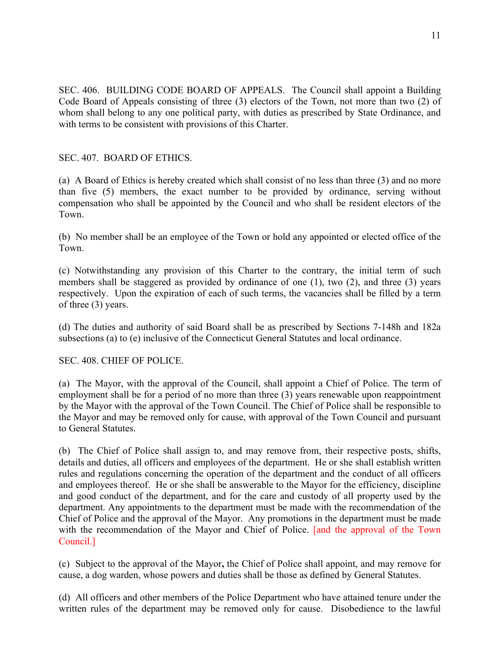SEC. 406. BUILDING CODE BOARD OF APPEALS. The Council shall appoint a Building Code Board of Appeals consisting of three (3) electors of the Town, not more than two (2) of whom shall belong to any one political party, with duties as prescribed by State Ordinance, and with terms to be consistent with provisions of this Charter.

# SEC. 407. BOARD OF ETHICS.

(a) A Board of Ethics is hereby created which shall consist of no less than three (3) and no more than five (5) members, the exact number to be provided by ordinance, serving without compensation who shall be appointed by the Council and who shall be resident electors of the Town.

(b) No member shall be an employee of the Town or hold any appointed or elected office of the Town.

(c) Notwithstanding any provision of this Charter to the contrary, the initial term of such members shall be staggered as provided by ordinance of one (1), two (2), and three (3) years respectively. Upon the expiration of each of such terms, the vacancies shall be filled by a term of three (3) years.

(d) The duties and authority of said Board shall be as prescribed by Sections 7-148h and 182a subsections (a) to (e) inclusive of the Connecticut General Statutes and local ordinance.

# SEC. 408. CHIEF OF POLICE.

(a) The Mayor, with the approval of the Council, shall appoint a Chief of Police. The term of employment shall be for a period of no more than three (3) years renewable upon reappointment by the Mayor with the approval of the Town Council. The Chief of Police shall be responsible to the Mayor and may be removed only for cause, with approval of the Town Council and pursuant to General Statutes.

(b) The Chief of Police shall assign to, and may remove from, their respective posts, shifts, details and duties, all officers and employees of the department. He or she shall establish written rules and regulations concerning the operation of the department and the conduct of all officers and employees thereof. He or she shall be answerable to the Mayor for the efficiency, discipline and good conduct of the department, and for the care and custody of all property used by the department. Any appointments to the department must be made with the recommendation of the Chief of Police and the approval of the Mayor. Any promotions in the department must be made with the recommendation of the Mayor and Chief of Police. [and the approval of the Town Council.]

(c) Subject to the approval of the Mayor**,** the Chief of Police shall appoint, and may remove for cause, a dog warden, whose powers and duties shall be those as defined by General Statutes.

(d) All officers and other members of the Police Department who have attained tenure under the written rules of the department may be removed only for cause. Disobedience to the lawful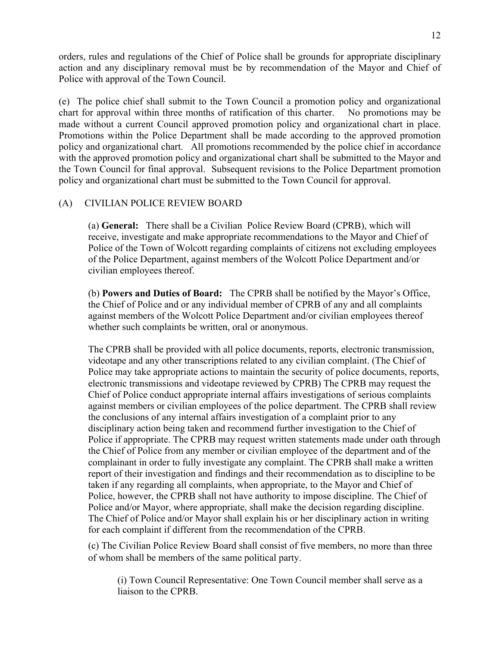orders, rules and regulations of the Chief of Police shall be grounds for appropriate disciplinary action and any disciplinary removal must be by recommendation of the Mayor and Chief of Police with approval of the Town Council.

(e) The police chief shall submit to the Town Council a promotion policy and organizational chart for approval within three months of ratification of this charter. No promotions may be made without a current Council approved promotion policy and organizational chart in place. Promotions within the Police Department shall be made according to the approved promotion policy and organizational chart. All promotions recommended by the police chief in accordance with the approved promotion policy and organizational chart shall be submitted to the Mayor and the Town Council for final approval. Subsequent revisions to the Police Department promotion policy and organizational chart must be submitted to the Town Council for approval.

# (A)CIVILIAN POLICE REVIEW BOARD

(a) **General:** There shall be a Civilian Police Review Board (CPRB), which will receive, investigate and make appropriate recommendations to the Mayor and Chief of Police of the Town of Wolcott regarding complaints of citizens not excluding employees of the Police Department, against members of the Wolcott Police Department and/or civilian employees thereof.

(b) **Powers and Duties of Board:** The CPRB shall be notified by the Mayor's Office, the Chief of Police and or any individual member of CPRB of any and all complaints against members of the Wolcott Police Department and/or civilian employees thereof whether such complaints be written, oral or anonymous.

The CPRB shall be provided with all police documents, reports, electronic transmission, videotape and any other transcriptions related to any civilian complaint. (The Chief of Police may take appropriate actions to maintain the security of police documents, reports, electronic transmissions and videotape reviewed by CPRB) The CPRB may request the Chief of Police conduct appropriate internal affairs investigations of serious complaints against members or civilian employees of the police department. The CPRB shall review the conclusions of any internal affairs investigation of a complaint prior to any disciplinary action being taken and recommend further investigation to the Chief of Police if appropriate. The CPRB may request written statements made under oath through the Chief of Police from any member or civilian employee of the department and of the complainant in order to fully investigate any complaint. The CPRB shall make a written report of their investigation and findings and their recommendation as to discipline to be taken if any regarding all complaints, when appropriate, to the Mayor and Chief of Police, however, the CPRB shall not have authority to impose discipline. The Chief of Police and/or Mayor, where appropriate, shall make the decision regarding discipline. The Chief of Police and/or Mayor shall explain his or her disciplinary action in writing for each complaint if different from the recommendation of the CPRB.

(c) The Civilian Police Review Board shall consist of five members, no more than three of whom shall be members of the same political party.

(i) Town Council Representative: One Town Council member shall serve as a liaison to the CPRB.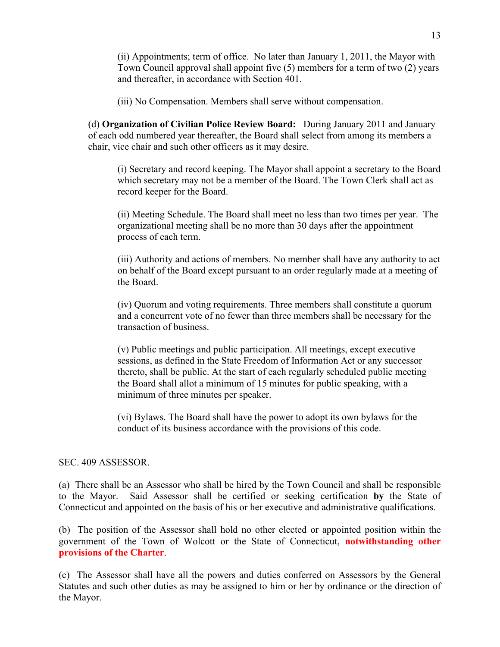(ii) Appointments; term of office. No later than January 1, 2011, the Mayor with Town Council approval shall appoint five (5) members for a term of two (2) years and thereafter, in accordance with Section 401.

(iii) No Compensation. Members shall serve without compensation.

(d) **Organization of Civilian Police Review Board:** During January 2011 and January of each odd numbered year thereafter, the Board shall select from among its members a chair, vice chair and such other officers as it may desire.

(i) Secretary and record keeping. The Mayor shall appoint a secretary to the Board which secretary may not be a member of the Board. The Town Clerk shall act as record keeper for the Board.

(ii) Meeting Schedule. The Board shall meet no less than two times per year. The organizational meeting shall be no more than 30 days after the appointment process of each term.

(iii) Authority and actions of members. No member shall have any authority to act on behalf of the Board except pursuant to an order regularly made at a meeting of the Board.

(iv) Quorum and voting requirements. Three members shall constitute a quorum and a concurrent vote of no fewer than three members shall be necessary for the transaction of business.

(v) Public meetings and public participation. All meetings, except executive sessions, as defined in the State Freedom of Information Act or any successor thereto, shall be public. At the start of each regularly scheduled public meeting the Board shall allot a minimum of 15 minutes for public speaking, with a minimum of three minutes per speaker.

(vi) Bylaws. The Board shall have the power to adopt its own bylaws for the conduct of its business accordance with the provisions of this code.

#### SEC. 409 ASSESSOR.

(a) There shall be an Assessor who shall be hired by the Town Council and shall be responsible to the Mayor. Said Assessor shall be certified or seeking certification **by** the State of Connecticut and appointed on the basis of his or her executive and administrative qualifications.

(b) The position of the Assessor shall hold no other elected or appointed position within the government of the Town of Wolcott or the State of Connecticut, **notwithstanding other provisions of the Charter**.

(c) The Assessor shall have all the powers and duties conferred on Assessors by the General Statutes and such other duties as may be assigned to him or her by ordinance or the direction of the Mayor.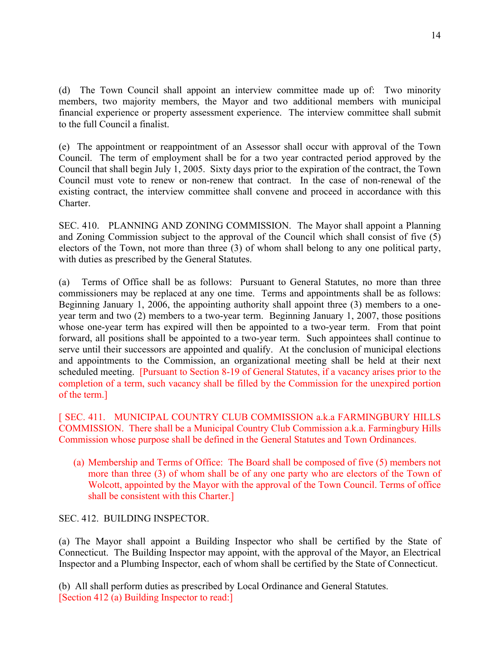(d)The Town Council shall appoint an interview committee made up of: Two minority members, two majority members, the Mayor and two additional members with municipal financial experience or property assessment experience. The interview committee shall submit to the full Council a finalist.

(e) The appointment or reappointment of an Assessor shall occur with approval of the Town Council. The term of employment shall be for a two year contracted period approved by the Council that shall begin July 1, 2005. Sixty days prior to the expiration of the contract, the Town Council must vote to renew or non-renew that contract. In the case of non-renewal of the existing contract, the interview committee shall convene and proceed in accordance with this Charter.

SEC. 410. PLANNING AND ZONING COMMISSION. The Mayor shall appoint a Planning and Zoning Commission subject to the approval of the Council which shall consist of five (5) electors of the Town, not more than three (3) of whom shall belong to any one political party, with duties as prescribed by the General Statutes.

(a) Terms of Office shall be as follows: Pursuant to General Statutes, no more than three commissioners may be replaced at any one time. Terms and appointments shall be as follows: Beginning January 1, 2006, the appointing authority shall appoint three (3) members to a oneyear term and two (2) members to a two-year term. Beginning January 1, 2007, those positions whose one-year term has expired will then be appointed to a two-year term. From that point forward, all positions shall be appointed to a two-year term. Such appointees shall continue to serve until their successors are appointed and qualify. At the conclusion of municipal elections and appointments to the Commission, an organizational meeting shall be held at their next scheduled meeting. [Pursuant to Section 8-19 of General Statutes, if a vacancy arises prior to the completion of a term, such vacancy shall be filled by the Commission for the unexpired portion of the term.]

[ SEC. 411. MUNICIPAL COUNTRY CLUB COMMISSION a.k.a FARMINGBURY HILLS COMMISSION. There shall be a Municipal Country Club Commission a.k.a. Farmingbury Hills Commission whose purpose shall be defined in the General Statutes and Town Ordinances.

(a) Membership and Terms of Office: The Board shall be composed of five (5) members not more than three (3) of whom shall be of any one party who are electors of the Town of Wolcott, appointed by the Mayor with the approval of the Town Council. Terms of office shall be consistent with this Charter.]

SEC. 412. BUILDING INSPECTOR.

(a) The Mayor shall appoint a Building Inspector who shall be certified by the State of Connecticut. The Building Inspector may appoint, with the approval of the Mayor, an Electrical Inspector and a Plumbing Inspector, each of whom shall be certified by the State of Connecticut.

(b) All shall perform duties as prescribed by Local Ordinance and General Statutes. [Section 412 (a) Building Inspector to read:]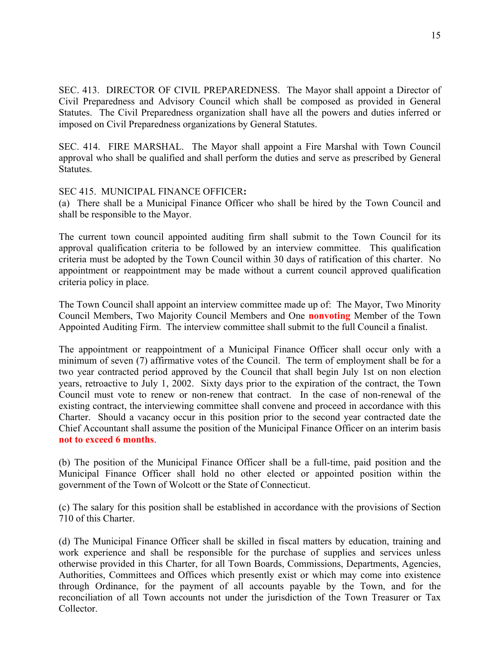SEC. 413. DIRECTOR OF CIVIL PREPAREDNESS. The Mayor shall appoint a Director of Civil Preparedness and Advisory Council which shall be composed as provided in General Statutes. The Civil Preparedness organization shall have all the powers and duties inferred or imposed on Civil Preparedness organizations by General Statutes.

SEC. 414. FIRE MARSHAL. The Mayor shall appoint a Fire Marshal with Town Council approval who shall be qualified and shall perform the duties and serve as prescribed by General Statutes.

SEC 415. MUNICIPAL FINANCE OFFICER**:**

(a)There shall be a Municipal Finance Officer who shall be hired by the Town Council and shall be responsible to the Mayor.

The current town council appointed auditing firm shall submit to the Town Council for its approval qualification criteria to be followed by an interview committee. This qualification criteria must be adopted by the Town Council within 30 days of ratification of this charter. No appointment or reappointment may be made without a current council approved qualification criteria policy in place.

The Town Council shall appoint an interview committee made up of: The Mayor, Two Minority Council Members, Two Majority Council Members and One **nonvoting** Member of the Town Appointed Auditing Firm. The interview committee shall submit to the full Council a finalist.

The appointment or reappointment of a Municipal Finance Officer shall occur only with a minimum of seven (7) affirmative votes of the Council. The term of employment shall be for a two year contracted period approved by the Council that shall begin July 1st on non election years, retroactive to July 1, 2002. Sixty days prior to the expiration of the contract, the Town Council must vote to renew or non-renew that contract. In the case of non-renewal of the existing contract, the interviewing committee shall convene and proceed in accordance with this Charter.Should a vacancy occur in this position prior to the second year contracted date the Chief Accountant shall assume the position of the Municipal Finance Officer on an interim basis **not to exceed 6 months**.

(b) The position of the Municipal Finance Officer shall be a full-time, paid position and the Municipal Finance Officer shall hold no other elected or appointed position within the government of the Town of Wolcott or the State of Connecticut.

(c) The salary for this position shall be established in accordance with the provisions of Section 710 of this Charter.

(d) The Municipal Finance Officer shall be skilled in fiscal matters by education, training and work experience and shall be responsible for the purchase of supplies and services unless otherwise provided in this Charter, for all Town Boards, Commissions, Departments, Agencies, Authorities, Committees and Offices which presently exist or which may come into existence through Ordinance, for the payment of all accounts payable by the Town, and for the reconciliation of all Town accounts not under the jurisdiction of the Town Treasurer or Tax Collector.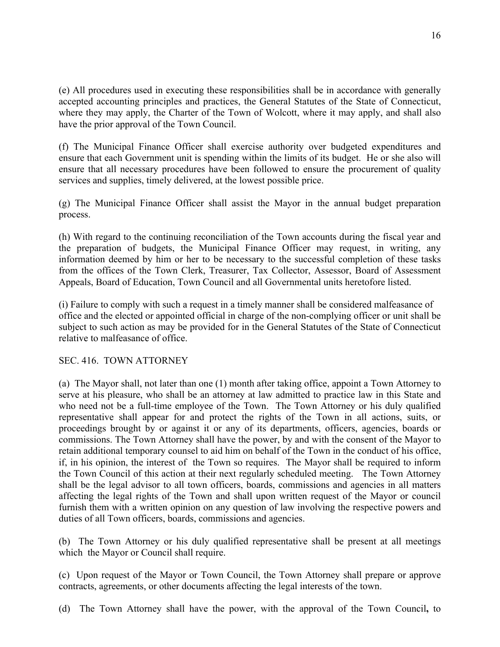(e) All procedures used in executing these responsibilities shall be in accordance with generally accepted accounting principles and practices, the General Statutes of the State of Connecticut, where they may apply, the Charter of the Town of Wolcott, where it may apply, and shall also have the prior approval of the Town Council.

(f) The Municipal Finance Officer shall exercise authority over budgeted expenditures and ensure that each Government unit is spending within the limits of its budget. He or she also will ensure that all necessary procedures have been followed to ensure the procurement of quality services and supplies, timely delivered, at the lowest possible price.

(g) The Municipal Finance Officer shall assist the Mayor in the annual budget preparation process.

(h) With regard to the continuing reconciliation of the Town accounts during the fiscal year and the preparation of budgets, the Municipal Finance Officer may request, in writing, any information deemed by him or her to be necessary to the successful completion of these tasks from the offices of the Town Clerk, Treasurer, Tax Collector, Assessor, Board of Assessment Appeals, Board of Education, Town Council and all Governmental units heretofore listed.

(i) Failure to comply with such a request in a timely manner shall be considered malfeasance of office and the elected or appointed official in charge of the non-complying officer or unit shall be subject to such action as may be provided for in the General Statutes of the State of Connecticut relative to malfeasance of office.

# SEC. 416. TOWN ATTORNEY

(a) The Mayor shall, not later than one (1) month after taking office, appoint a Town Attorney to serve at his pleasure, who shall be an attorney at law admitted to practice law in this State and who need not be a full-time employee of the Town. The Town Attorney or his duly qualified representative shall appear for and protect the rights of the Town in all actions, suits, or proceedings brought by or against it or any of its departments, officers, agencies, boards or commissions. The Town Attorney shall have the power, by and with the consent of the Mayor to retain additional temporary counsel to aid him on behalf of the Town in the conduct of his office, if, in his opinion, the interest of the Town so requires. The Mayor shall be required to inform the Town Council of this action at their next regularly scheduled meeting. The Town Attorney shall be the legal advisor to all town officers, boards, commissions and agencies in all matters affecting the legal rights of the Town and shall upon written request of the Mayor or council furnish them with a written opinion on any question of law involving the respective powers and duties of all Town officers, boards, commissions and agencies.

(b) The Town Attorney or his duly qualified representative shall be present at all meetings which the Mayor or Council shall require.

(c) Upon request of the Mayor or Town Council, the Town Attorney shall prepare or approve contracts, agreements, or other documents affecting the legal interests of the town.

(d) The Town Attorney shall have the power, with the approval of the Town Council**,** to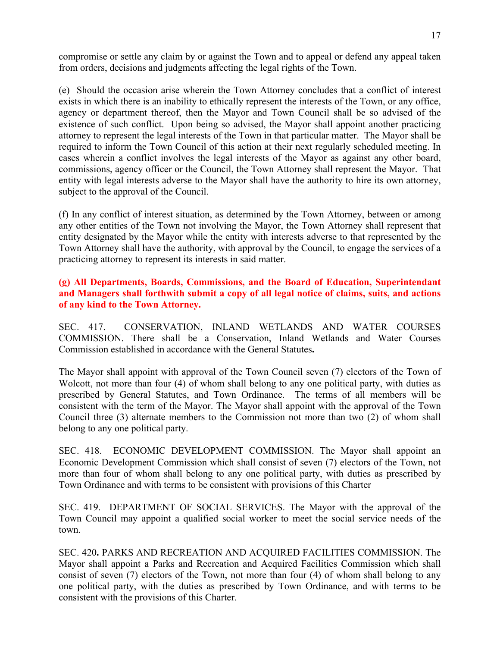compromise or settle any claim by or against the Town and to appeal or defend any appeal taken from orders, decisions and judgments affecting the legal rights of the Town.

(e) Should the occasion arise wherein the Town Attorney concludes that a conflict of interest exists in which there is an inability to ethically represent the interests of the Town, or any office, agency or department thereof, then the Mayor and Town Council shall be so advised of the existence of such conflict. Upon being so advised, the Mayor shall appoint another practicing attorney to represent the legal interests of the Town in that particular matter. The Mayor shall be required to inform the Town Council of this action at their next regularly scheduled meeting. In cases wherein a conflict involves the legal interests of the Mayor as against any other board, commissions, agency officer or the Council, the Town Attorney shall represent the Mayor. That entity with legal interests adverse to the Mayor shall have the authority to hire its own attorney, subject to the approval of the Council.

(f) In any conflict of interest situation, as determined by the Town Attorney, between or among any other entities of the Town not involving the Mayor, the Town Attorney shall represent that entity designated by the Mayor while the entity with interests adverse to that represented by the Town Attorney shall have the authority, with approval by the Council, to engage the services of a practicing attorney to represent its interests in said matter.

# **(g) All Departments, Boards, Commissions, and the Board of Education, Superintendant and Managers shall forthwith submit a copy of all legal notice of claims, suits, and actions of any kind to the Town Attorney.**

SEC. 417. CONSERVATION, INLAND WETLANDS AND WATER COURSES COMMISSION. There shall be a Conservation, Inland Wetlands and Water Courses Commission established in accordance with the General Statutes**.** 

The Mayor shall appoint with approval of the Town Council seven (7) electors of the Town of Wolcott, not more than four (4) of whom shall belong to any one political party, with duties as prescribed by General Statutes, and Town Ordinance. The terms of all members will be consistent with the term of the Mayor. The Mayor shall appoint with the approval of the Town Council three (3) alternate members to the Commission not more than two (2) of whom shall belong to any one political party.

SEC. 418. ECONOMIC DEVELOPMENT COMMISSION. The Mayor shall appoint an Economic Development Commission which shall consist of seven (7) electors of the Town, not more than four of whom shall belong to any one political party, with duties as prescribed by Town Ordinance and with terms to be consistent with provisions of this Charter

SEC. 419. DEPARTMENT OF SOCIAL SERVICES. The Mayor with the approval of the Town Council may appoint a qualified social worker to meet the social service needs of the town.

SEC. 420**.** PARKS AND RECREATION AND ACQUIRED FACILITIES COMMISSION. The Mayor shall appoint a Parks and Recreation and Acquired Facilities Commission which shall consist of seven (7) electors of the Town, not more than four (4) of whom shall belong to any one political party, with the duties as prescribed by Town Ordinance, and with terms to be consistent with the provisions of this Charter.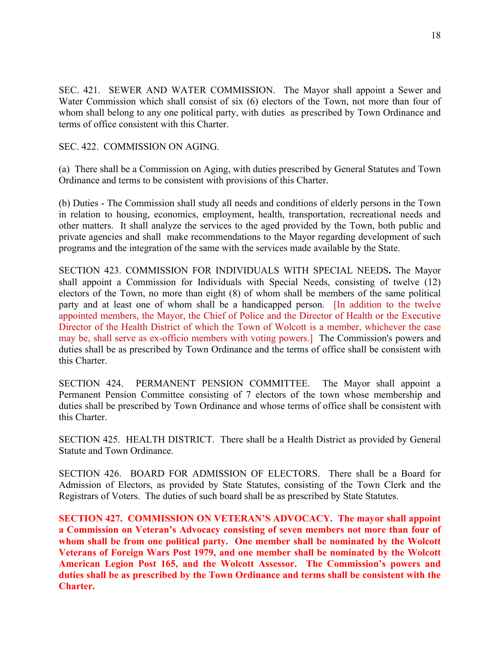SEC. 421. SEWER AND WATER COMMISSION. The Mayor shall appoint a Sewer and Water Commission which shall consist of six (6) electors of the Town, not more than four of whom shall belong to any one political party, with duties as prescribed by Town Ordinance and terms of office consistent with this Charter.

SEC. 422. COMMISSION ON AGING.

(a) There shall be a Commission on Aging, with duties prescribed by General Statutes and Town Ordinance and terms to be consistent with provisions of this Charter.

(b) Duties - The Commission shall study all needs and conditions of elderly persons in the Town in relation to housing, economics, employment, health, transportation, recreational needs and other matters. It shall analyze the services to the aged provided by the Town, both public and private agencies and shall make recommendations to the Mayor regarding development of such programs and the integration of the same with the services made available by the State.

SECTION 423. COMMISSION FOR INDIVIDUALS WITH SPECIAL NEEDS**.** The Mayor shall appoint a Commission for Individuals with Special Needs, consisting of twelve (12) electors of the Town, no more than eight (8) of whom shall be members of the same political party and at least one of whom shall be a handicapped person. [In addition to the twelve appointed members, the Mayor, the Chief of Police and the Director of Health or the Executive Director of the Health District of which the Town of Wolcott is a member, whichever the case may be, shall serve as ex-officio members with voting powers.] The Commission's powers and duties shall be as prescribed by Town Ordinance and the terms of office shall be consistent with this Charter.

SECTION 424. PERMANENT PENSION COMMITTEE. The Mayor shall appoint a Permanent Pension Committee consisting of 7 electors of the town whose membership and duties shall be prescribed by Town Ordinance and whose terms of office shall be consistent with this Charter.

SECTION 425. HEALTH DISTRICT. There shall be a Health District as provided by General Statute and Town Ordinance.

SECTION 426. BOARD FOR ADMISSION OF ELECTORS. There shall be a Board for Admission of Electors, as provided by State Statutes, consisting of the Town Clerk and the Registrars of Voters. The duties of such board shall be as prescribed by State Statutes.

**SECTION 427. COMMISSION ON VETERAN'S ADVOCACY. The mayor shall appoint a Commission on Veteran's Advocacy consisting of seven members not more than four of whom shall be from one political party. One member shall be nominated by the Wolcott Veterans of Foreign Wars Post 1979, and one member shall be nominated by the Wolcott American Legion Post 165, and the Wolcott Assessor. The Commission's powers and duties shall be as prescribed by the Town Ordinance and terms shall be consistent with the Charter.**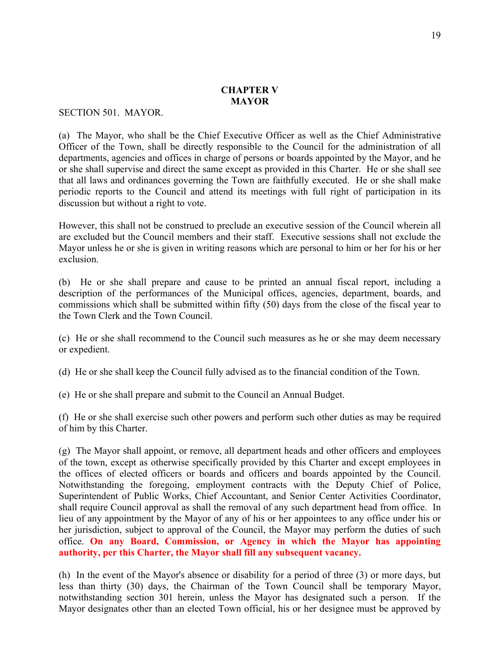#### **CHAPTER V MAYOR**

SECTION 501. MAYOR.

(a) The Mayor, who shall be the Chief Executive Officer as well as the Chief Administrative Officer of the Town, shall be directly responsible to the Council for the administration of all departments, agencies and offices in charge of persons or boards appointed by the Mayor, and he or she shall supervise and direct the same except as provided in this Charter. He or she shall see that all laws and ordinances governing the Town are faithfully executed. He or she shall make periodic reports to the Council and attend its meetings with full right of participation in its discussion but without a right to vote.

However, this shall not be construed to preclude an executive session of the Council wherein all are excluded but the Council members and their staff. Executive sessions shall not exclude the Mayor unless he or she is given in writing reasons which are personal to him or her for his or her exclusion.

(b) He or she shall prepare and cause to be printed an annual fiscal report, including a description of the performances of the Municipal offices, agencies, department, boards, and commissions which shall be submitted within fifty (50) days from the close of the fiscal year to the Town Clerk and the Town Council.

(c) He or she shall recommend to the Council such measures as he or she may deem necessary or expedient.

(d) He or she shall keep the Council fully advised as to the financial condition of the Town.

(e) He or she shall prepare and submit to the Council an Annual Budget.

(f) He or she shall exercise such other powers and perform such other duties as may be required of him by this Charter.

(g) The Mayor shall appoint, or remove, all department heads and other officers and employees of the town, except as otherwise specifically provided by this Charter and except employees in the offices of elected officers or boards and officers and boards appointed by the Council. Notwithstanding the foregoing, employment contracts with the Deputy Chief of Police, Superintendent of Public Works, Chief Accountant, and Senior Center Activities Coordinator, shall require Council approval as shall the removal of any such department head from office. In lieu of any appointment by the Mayor of any of his or her appointees to any office under his or her jurisdiction, subject to approval of the Council, the Mayor may perform the duties of such office. **On any Board, Commission, or Agency in which the Mayor has appointing authority, per this Charter, the Mayor shall fill any subsequent vacancy.**

(h) In the event of the Mayor's absence or disability for a period of three (3) or more days, but less than thirty (30) days, the Chairman of the Town Council shall be temporary Mayor, notwithstanding section 301 herein, unless the Mayor has designated such a person. If the Mayor designates other than an elected Town official, his or her designee must be approved by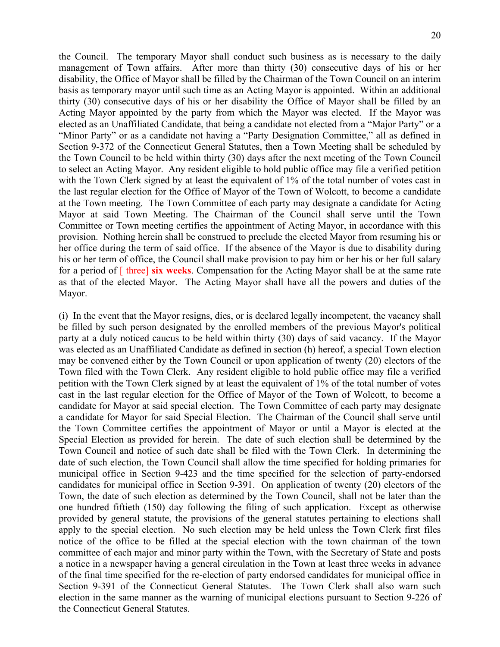the Council. The temporary Mayor shall conduct such business as is necessary to the daily management of Town affairs. After more than thirty (30) consecutive days of his or her disability, the Office of Mayor shall be filled by the Chairman of the Town Council on an interim basis as temporary mayor until such time as an Acting Mayor is appointed. Within an additional thirty (30) consecutive days of his or her disability the Office of Mayor shall be filled by an Acting Mayor appointed by the party from which the Mayor was elected. If the Mayor was elected as an Unaffiliated Candidate, that being a candidate not elected from a "Major Party" or a "Minor Party" or as a candidate not having a "Party Designation Committee," all as defined in Section 9-372 of the Connecticut General Statutes, then a Town Meeting shall be scheduled by the Town Council to be held within thirty (30) days after the next meeting of the Town Council to select an Acting Mayor. Any resident eligible to hold public office may file a verified petition with the Town Clerk signed by at least the equivalent of 1% of the total number of votes cast in the last regular election for the Office of Mayor of the Town of Wolcott, to become a candidate at the Town meeting. The Town Committee of each party may designate a candidate for Acting Mayor at said Town Meeting. The Chairman of the Council shall serve until the Town Committee or Town meeting certifies the appointment of Acting Mayor, in accordance with this provision. Nothing herein shall be construed to preclude the elected Mayor from resuming his or her office during the term of said office. If the absence of the Mayor is due to disability during his or her term of office, the Council shall make provision to pay him or her his or her full salary for a period of [ three] **six weeks**. Compensation for the Acting Mayor shall be at the same rate as that of the elected Mayor. The Acting Mayor shall have all the powers and duties of the Mayor.

(i) In the event that the Mayor resigns, dies, or is declared legally incompetent, the vacancy shall be filled by such person designated by the enrolled members of the previous Mayor's political party at a duly noticed caucus to be held within thirty (30) days of said vacancy. If the Mayor was elected as an Unaffiliated Candidate as defined in section (h) hereof, a special Town election may be convened either by the Town Council or upon application of twenty (20) electors of the Town filed with the Town Clerk. Any resident eligible to hold public office may file a verified petition with the Town Clerk signed by at least the equivalent of 1% of the total number of votes cast in the last regular election for the Office of Mayor of the Town of Wolcott, to become a candidate for Mayor at said special election. The Town Committee of each party may designate a candidate for Mayor for said Special Election. The Chairman of the Council shall serve until the Town Committee certifies the appointment of Mayor or until a Mayor is elected at the Special Election as provided for herein. The date of such election shall be determined by the Town Council and notice of such date shall be filed with the Town Clerk. In determining the date of such election, the Town Council shall allow the time specified for holding primaries for municipal office in Section 9-423 and the time specified for the selection of party-endorsed candidates for municipal office in Section 9-391. On application of twenty (20) electors of the Town, the date of such election as determined by the Town Council, shall not be later than the one hundred fiftieth (150) day following the filing of such application. Except as otherwise provided by general statute, the provisions of the general statutes pertaining to elections shall apply to the special election. No such election may be held unless the Town Clerk first files notice of the office to be filled at the special election with the town chairman of the town committee of each major and minor party within the Town, with the Secretary of State and posts a notice in a newspaper having a general circulation in the Town at least three weeks in advance of the final time specified for the re-election of party endorsed candidates for municipal office in Section 9-391 of the Connecticut General Statutes. The Town Clerk shall also warn such election in the same manner as the warning of municipal elections pursuant to Section 9-226 of the Connecticut General Statutes.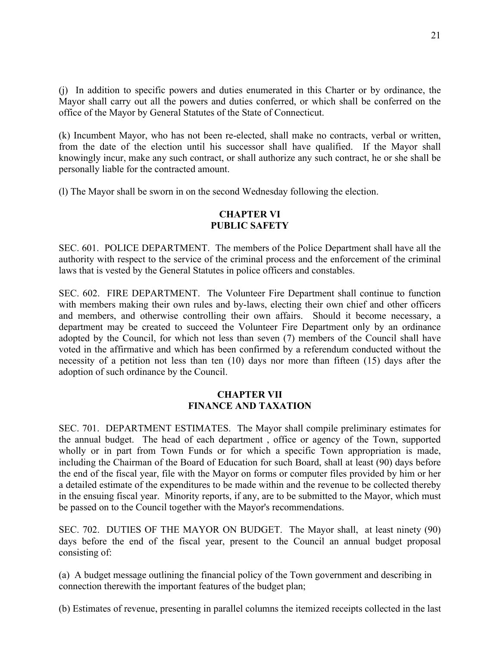(j) In addition to specific powers and duties enumerated in this Charter or by ordinance, the Mayor shall carry out all the powers and duties conferred, or which shall be conferred on the office of the Mayor by General Statutes of the State of Connecticut.

(k) Incumbent Mayor, who has not been re-elected, shall make no contracts, verbal or written, from the date of the election until his successor shall have qualified. If the Mayor shall knowingly incur, make any such contract, or shall authorize any such contract, he or she shall be personally liable for the contracted amount.

(l) The Mayor shall be sworn in on the second Wednesday following the election.

### **CHAPTER VI PUBLIC SAFETY**

SEC. 601. POLICE DEPARTMENT. The members of the Police Department shall have all the authority with respect to the service of the criminal process and the enforcement of the criminal laws that is vested by the General Statutes in police officers and constables.

SEC. 602. FIRE DEPARTMENT. The Volunteer Fire Department shall continue to function with members making their own rules and by-laws, electing their own chief and other officers and members, and otherwise controlling their own affairs. Should it become necessary, a department may be created to succeed the Volunteer Fire Department only by an ordinance adopted by the Council, for which not less than seven (7) members of the Council shall have voted in the affirmative and which has been confirmed by a referendum conducted without the necessity of a petition not less than ten (10) days nor more than fifteen (15) days after the adoption of such ordinance by the Council.

# **CHAPTER VII FINANCE AND TAXATION**

SEC. 701. DEPARTMENT ESTIMATES. The Mayor shall compile preliminary estimates for the annual budget. The head of each department , office or agency of the Town, supported wholly or in part from Town Funds or for which a specific Town appropriation is made, including the Chairman of the Board of Education for such Board, shall at least (90) days before the end of the fiscal year, file with the Mayor on forms or computer files provided by him or her a detailed estimate of the expenditures to be made within and the revenue to be collected thereby in the ensuing fiscal year. Minority reports, if any, are to be submitted to the Mayor, which must be passed on to the Council together with the Mayor's recommendations.

SEC. 702. DUTIES OF THE MAYOR ON BUDGET. The Mayor shall, at least ninety (90) days before the end of the fiscal year, present to the Council an annual budget proposal consisting of:

(a) A budget message outlining the financial policy of the Town government and describing in connection therewith the important features of the budget plan;

(b) Estimates of revenue, presenting in parallel columns the itemized receipts collected in the last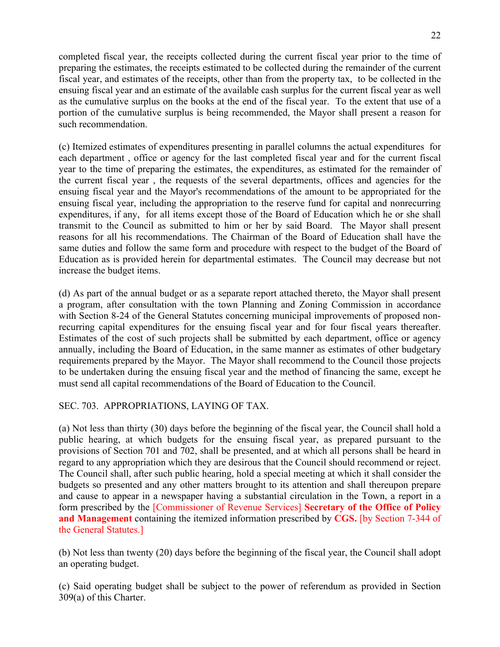completed fiscal year, the receipts collected during the current fiscal year prior to the time of preparing the estimates, the receipts estimated to be collected during the remainder of the current fiscal year, and estimates of the receipts, other than from the property tax, to be collected in the ensuing fiscal year and an estimate of the available cash surplus for the current fiscal year as well as the cumulative surplus on the books at the end of the fiscal year. To the extent that use of a portion of the cumulative surplus is being recommended, the Mayor shall present a reason for such recommendation.

(c) Itemized estimates of expenditures presenting in parallel columns the actual expenditures for each department , office or agency for the last completed fiscal year and for the current fiscal year to the time of preparing the estimates, the expenditures, as estimated for the remainder of the current fiscal year , the requests of the several departments, offices and agencies for the ensuing fiscal year and the Mayor's recommendations of the amount to be appropriated for the ensuing fiscal year, including the appropriation to the reserve fund for capital and nonrecurring expenditures, if any, for all items except those of the Board of Education which he or she shall transmit to the Council as submitted to him or her by said Board. The Mayor shall present reasons for all his recommendations. The Chairman of the Board of Education shall have the same duties and follow the same form and procedure with respect to the budget of the Board of Education as is provided herein for departmental estimates. The Council may decrease but not increase the budget items.

(d) As part of the annual budget or as a separate report attached thereto, the Mayor shall present a program, after consultation with the town Planning and Zoning Commission in accordance with Section 8-24 of the General Statutes concerning municipal improvements of proposed nonrecurring capital expenditures for the ensuing fiscal year and for four fiscal years thereafter. Estimates of the cost of such projects shall be submitted by each department, office or agency annually, including the Board of Education, in the same manner as estimates of other budgetary requirements prepared by the Mayor. The Mayor shall recommend to the Council those projects to be undertaken during the ensuing fiscal year and the method of financing the same, except he must send all capital recommendations of the Board of Education to the Council.

# SEC. 703. APPROPRIATIONS, LAYING OF TAX.

(a) Not less than thirty (30) days before the beginning of the fiscal year, the Council shall hold a public hearing, at which budgets for the ensuing fiscal year, as prepared pursuant to the provisions of Section 701 and 702, shall be presented, and at which all persons shall be heard in regard to any appropriation which they are desirous that the Council should recommend or reject. The Council shall, after such public hearing, hold a special meeting at which it shall consider the budgets so presented and any other matters brought to its attention and shall thereupon prepare and cause to appear in a newspaper having a substantial circulation in the Town, a report in a form prescribed by the [Commissioner of Revenue Services] **Secretary of the Office of Policy and Management** containing the itemized information prescribed by **CGS.** [by Section 7-344 of the General Statutes.]

(b) Not less than twenty (20) days before the beginning of the fiscal year, the Council shall adopt an operating budget.

(c) Said operating budget shall be subject to the power of referendum as provided in Section 309(a) of this Charter.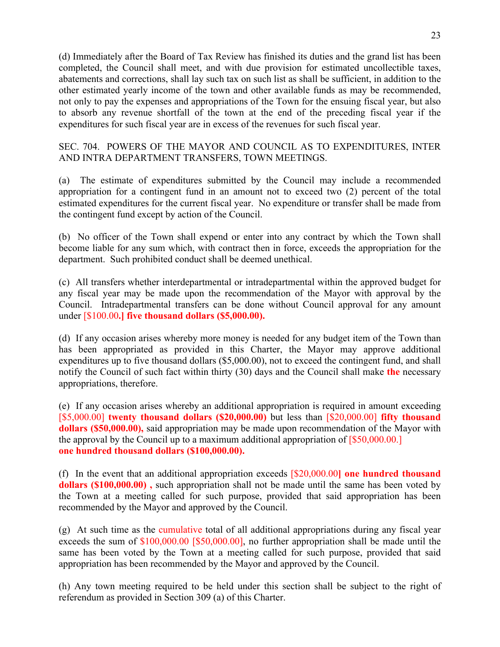(d) Immediately after the Board of Tax Review has finished its duties and the grand list has been completed, the Council shall meet, and with due provision for estimated uncollectible taxes, abatements and corrections, shall lay such tax on such list as shall be sufficient, in addition to the other estimated yearly income of the town and other available funds as may be recommended, not only to pay the expenses and appropriations of the Town for the ensuing fiscal year, but also to absorb any revenue shortfall of the town at the end of the preceding fiscal year if the expenditures for such fiscal year are in excess of the revenues for such fiscal year.

SEC. 704. POWERS OF THE MAYOR AND COUNCIL AS TO EXPENDITURES, INTER AND INTRA DEPARTMENT TRANSFERS, TOWN MEETINGS.

(a) The estimate of expenditures submitted by the Council may include a recommended appropriation for a contingent fund in an amount not to exceed two (2) percent of the total estimated expenditures for the current fiscal year. No expenditure or transfer shall be made from the contingent fund except by action of the Council.

(b) No officer of the Town shall expend or enter into any contract by which the Town shall become liable for any sum which, with contract then in force, exceeds the appropriation for the department. Such prohibited conduct shall be deemed unethical.

(c) All transfers whether interdepartmental or intradepartmental within the approved budget for any fiscal year may be made upon the recommendation of the Mayor with approval by the Council. Intradepartmental transfers can be done without Council approval for any amount under [\$100.00**.] five thousand dollars (\$5,000.00).** 

(d) If any occasion arises whereby more money is needed for any budget item of the Town than has been appropriated as provided in this Charter, the Mayor may approve additional expenditures up to five thousand dollars (\$5,000.00), not to exceed the contingent fund, and shall notify the Council of such fact within thirty (30) days and the Council shall make **the** necessary appropriations, therefore.

(e) If any occasion arises whereby an additional appropriation is required in amount exceeding [\$5,000.00] **twenty thousand dollars (\$20,000.00)** but less than [\$20,000.00] **fifty thousand dollars (\$50,000.00),** said appropriation may be made upon recommendation of the Mayor with the approval by the Council up to a maximum additional appropriation of [\$50,000.00.] **one hundred thousand dollars (\$100,000.00).**

(f) In the event that an additional appropriation exceeds [\$20,000.00**] one hundred thousand dollars (\$100,000.00) ,** such appropriation shall not be made until the same has been voted by the Town at a meeting called for such purpose, provided that said appropriation has been recommended by the Mayor and approved by the Council.

(g) At such time as the cumulative total of all additional appropriations during any fiscal year exceeds the sum of \$100,000.00 [\$50,000.00], no further appropriation shall be made until the same has been voted by the Town at a meeting called for such purpose, provided that said appropriation has been recommended by the Mayor and approved by the Council.

(h) Any town meeting required to be held under this section shall be subject to the right of referendum as provided in Section 309 (a) of this Charter.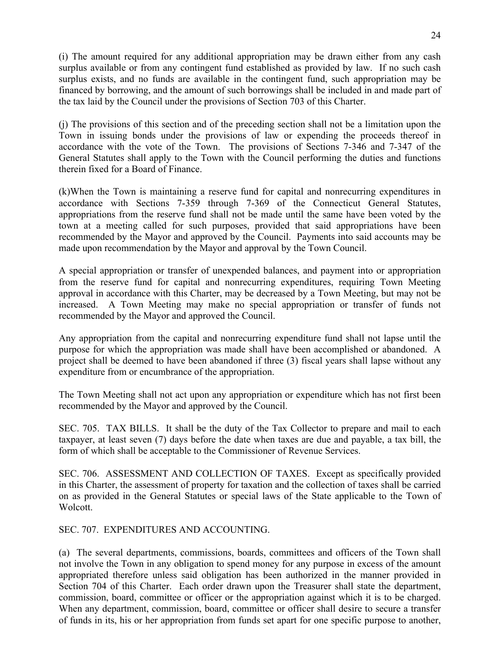(i) The amount required for any additional appropriation may be drawn either from any cash surplus available or from any contingent fund established as provided by law. If no such cash surplus exists, and no funds are available in the contingent fund, such appropriation may be financed by borrowing, and the amount of such borrowings shall be included in and made part of the tax laid by the Council under the provisions of Section 703 of this Charter.

(j) The provisions of this section and of the preceding section shall not be a limitation upon the Town in issuing bonds under the provisions of law or expending the proceeds thereof in accordance with the vote of the Town. The provisions of Sections 7-346 and 7-347 of the General Statutes shall apply to the Town with the Council performing the duties and functions therein fixed for a Board of Finance.

(k)When the Town is maintaining a reserve fund for capital and nonrecurring expenditures in accordance with Sections 7-359 through 7-369 of the Connecticut General Statutes, appropriations from the reserve fund shall not be made until the same have been voted by the town at a meeting called for such purposes, provided that said appropriations have been recommended by the Mayor and approved by the Council. Payments into said accounts may be made upon recommendation by the Mayor and approval by the Town Council.

A special appropriation or transfer of unexpended balances, and payment into or appropriation from the reserve fund for capital and nonrecurring expenditures, requiring Town Meeting approval in accordance with this Charter, may be decreased by a Town Meeting, but may not be increased. A Town Meeting may make no special appropriation or transfer of funds not recommended by the Mayor and approved the Council.

Any appropriation from the capital and nonrecurring expenditure fund shall not lapse until the purpose for which the appropriation was made shall have been accomplished or abandoned. A project shall be deemed to have been abandoned if three (3) fiscal years shall lapse without any expenditure from or encumbrance of the appropriation.

The Town Meeting shall not act upon any appropriation or expenditure which has not first been recommended by the Mayor and approved by the Council.

SEC. 705. TAX BILLS. It shall be the duty of the Tax Collector to prepare and mail to each taxpayer, at least seven (7) days before the date when taxes are due and payable, a tax bill, the form of which shall be acceptable to the Commissioner of Revenue Services.

SEC. 706. ASSESSMENT AND COLLECTION OF TAXES. Except as specifically provided in this Charter, the assessment of property for taxation and the collection of taxes shall be carried on as provided in the General Statutes or special laws of the State applicable to the Town of Wolcott.

SEC. 707. EXPENDITURES AND ACCOUNTING.

(a) The several departments, commissions, boards, committees and officers of the Town shall not involve the Town in any obligation to spend money for any purpose in excess of the amount appropriated therefore unless said obligation has been authorized in the manner provided in Section 704 of this Charter. Each order drawn upon the Treasurer shall state the department, commission, board, committee or officer or the appropriation against which it is to be charged. When any department, commission, board, committee or officer shall desire to secure a transfer of funds in its, his or her appropriation from funds set apart for one specific purpose to another,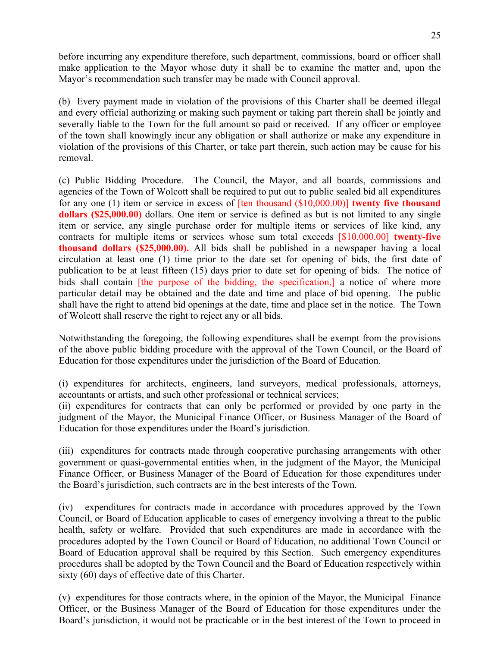before incurring any expenditure therefore, such department, commissions, board or officer shall make application to the Mayor whose duty it shall be to examine the matter and, upon the Mayor's recommendation such transfer may be made with Council approval.

(b) Every payment made in violation of the provisions of this Charter shall be deemed illegal and every official authorizing or making such payment or taking part therein shall be jointly and severally liable to the Town for the full amount so paid or received. If any officer or employee of the town shall knowingly incur any obligation or shall authorize or make any expenditure in violation of the provisions of this Charter, or take part therein, such action may be cause for his removal.

(c) Public Bidding Procedure. The Council, the Mayor, and all boards, commissions and agencies of the Town of Wolcott shall be required to put out to public sealed bid all expenditures for any one (1) item or service in excess of [ten thousand (\$10,000.00)] **twenty five thousand dollars (\$25,000.00)** dollars. One item or service is defined as but is not limited to any single item or service, any single purchase order for multiple items or services of like kind, any contracts for multiple items or services whose sum total exceeds [\$10,000.00] **twenty-five thousand dollars (\$25,000.00).** All bids shall be published in a newspaper having a local circulation at least one (1) time prior to the date set for opening of bids, the first date of publication to be at least fifteen (15) days prior to date set for opening of bids. The notice of bids shall contain *[the purpose of the bidding, the specification,]* a notice of where more particular detail may be obtained and the date and time and place of bid opening. The public shall have the right to attend bid openings at the date, time and place set in the notice. The Town of Wolcott shall reserve the right to reject any or all bids.

Notwithstanding the foregoing, the following expenditures shall be exempt from the provisions of the above public bidding procedure with the approval of the Town Council, or the Board of Education for those expenditures under the jurisdiction of the Board of Education.

(i) expenditures for architects, engineers, land surveyors, medical professionals, attorneys, accountants or artists, and such other professional or technical services;

(ii) expenditures for contracts that can only be performed or provided by one party in the judgment of the Mayor, the Municipal Finance Officer, or Business Manager of the Board of Education for those expenditures under the Board's jurisdiction.

(iii) expenditures for contracts made through cooperative purchasing arrangements with other government or quasi-governmental entities when, in the judgment of the Mayor, the Municipal Finance Officer, or Business Manager of the Board of Education for those expenditures under the Board's jurisdiction, such contracts are in the best interests of the Town.

(iv) expenditures for contracts made in accordance with procedures approved by the Town Council, or Board of Education applicable to cases of emergency involving a threat to the public health, safety or welfare. Provided that such expenditures are made in accordance with the procedures adopted by the Town Council or Board of Education, no additional Town Council or Board of Education approval shall be required by this Section. Such emergency expenditures procedures shall be adopted by the Town Council and the Board of Education respectively within sixty (60) days of effective date of this Charter.

(v) expenditures for those contracts where, in the opinion of the Mayor, the Municipal Finance Officer, or the Business Manager of the Board of Education for those expenditures under the Board's jurisdiction, it would not be practicable or in the best interest of the Town to proceed in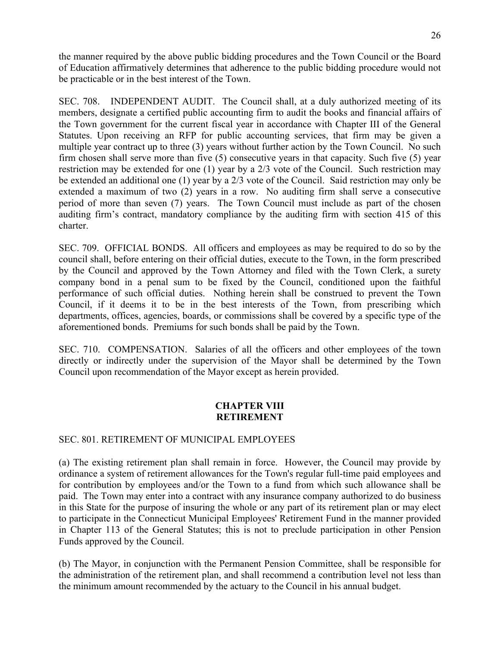the manner required by the above public bidding procedures and the Town Council or the Board of Education affirmatively determines that adherence to the public bidding procedure would not be practicable or in the best interest of the Town.

SEC. 708. INDEPENDENT AUDIT. The Council shall, at a duly authorized meeting of its members, designate a certified public accounting firm to audit the books and financial affairs of the Town government for the current fiscal year in accordance with Chapter III of the General Statutes. Upon receiving an RFP for public accounting services, that firm may be given a multiple year contract up to three (3) years without further action by the Town Council.No such firm chosen shall serve more than five (5) consecutive years in that capacity. Such five (5) year restriction may be extended for one (1) year by a 2/3 vote of the Council. Such restriction may be extended an additional one (1) year by a 2/3 vote of the Council. Said restriction may only be extended a maximum of two (2) years in a row. No auditing firm shall serve a consecutive period of more than seven (7) years. The Town Council must include as part of the chosen auditing firm's contract, mandatory compliance by the auditing firm with section 415 of this charter.

SEC. 709. OFFICIAL BONDS. All officers and employees as may be required to do so by the council shall, before entering on their official duties, execute to the Town, in the form prescribed by the Council and approved by the Town Attorney and filed with the Town Clerk, a surety company bond in a penal sum to be fixed by the Council, conditioned upon the faithful performance of such official duties. Nothing herein shall be construed to prevent the Town Council, if it deems it to be in the best interests of the Town, from prescribing which departments, offices, agencies, boards, or commissions shall be covered by a specific type of the aforementioned bonds. Premiums for such bonds shall be paid by the Town.

SEC. 710. COMPENSATION. Salaries of all the officers and other employees of the town directly or indirectly under the supervision of the Mayor shall be determined by the Town Council upon recommendation of the Mayor except as herein provided.

# **CHAPTER VIII RETIREMENT**

# SEC. 801. RETIREMENT OF MUNICIPAL EMPLOYEES

(a) The existing retirement plan shall remain in force. However, the Council may provide by ordinance a system of retirement allowances for the Town's regular full-time paid employees and for contribution by employees and/or the Town to a fund from which such allowance shall be paid. The Town may enter into a contract with any insurance company authorized to do business in this State for the purpose of insuring the whole or any part of its retirement plan or may elect to participate in the Connecticut Municipal Employees' Retirement Fund in the manner provided in Chapter 113 of the General Statutes; this is not to preclude participation in other Pension Funds approved by the Council.

(b) The Mayor, in conjunction with the Permanent Pension Committee, shall be responsible for the administration of the retirement plan, and shall recommend a contribution level not less than the minimum amount recommended by the actuary to the Council in his annual budget.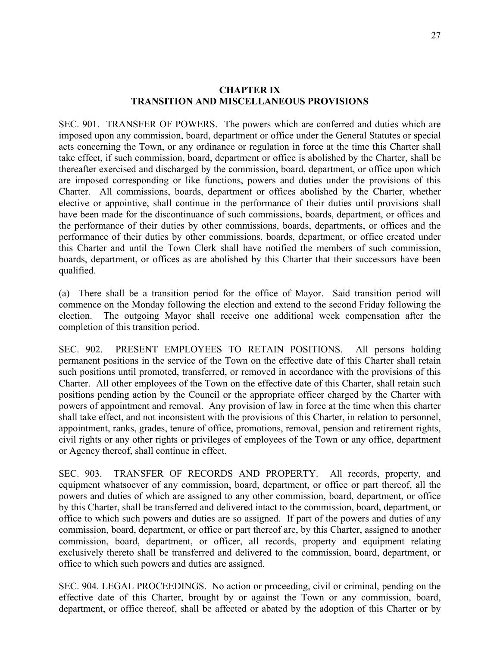#### **CHAPTER IX TRANSITION AND MISCELLANEOUS PROVISIONS**

SEC. 901. TRANSFER OF POWERS. The powers which are conferred and duties which are imposed upon any commission, board, department or office under the General Statutes or special acts concerning the Town, or any ordinance or regulation in force at the time this Charter shall take effect, if such commission, board, department or office is abolished by the Charter, shall be thereafter exercised and discharged by the commission, board, department, or office upon which are imposed corresponding or like functions, powers and duties under the provisions of this Charter. All commissions, boards, department or offices abolished by the Charter, whether elective or appointive, shall continue in the performance of their duties until provisions shall have been made for the discontinuance of such commissions, boards, department, or offices and the performance of their duties by other commissions, boards, departments, or offices and the performance of their duties by other commissions, boards, department, or office created under this Charter and until the Town Clerk shall have notified the members of such commission, boards, department, or offices as are abolished by this Charter that their successors have been qualified.

(a) There shall be a transition period for the office of Mayor. Said transition period will commence on the Monday following the election and extend to the second Friday following the election. The outgoing Mayor shall receive one additional week compensation after the completion of this transition period.

SEC. 902. PRESENT EMPLOYEES TO RETAIN POSITIONS. All persons holding permanent positions in the service of the Town on the effective date of this Charter shall retain such positions until promoted, transferred, or removed in accordance with the provisions of this Charter. All other employees of the Town on the effective date of this Charter, shall retain such positions pending action by the Council or the appropriate officer charged by the Charter with powers of appointment and removal. Any provision of law in force at the time when this charter shall take effect, and not inconsistent with the provisions of this Charter, in relation to personnel, appointment, ranks, grades, tenure of office, promotions, removal, pension and retirement rights, civil rights or any other rights or privileges of employees of the Town or any office, department or Agency thereof, shall continue in effect.

SEC. 903. TRANSFER OF RECORDS AND PROPERTY. All records, property, and equipment whatsoever of any commission, board, department, or office or part thereof, all the powers and duties of which are assigned to any other commission, board, department, or office by this Charter, shall be transferred and delivered intact to the commission, board, department, or office to which such powers and duties are so assigned. If part of the powers and duties of any commission, board, department, or office or part thereof are, by this Charter, assigned to another commission, board, department, or officer, all records, property and equipment relating exclusively thereto shall be transferred and delivered to the commission, board, department, or office to which such powers and duties are assigned.

SEC. 904. LEGAL PROCEEDINGS. No action or proceeding, civil or criminal, pending on the effective date of this Charter, brought by or against the Town or any commission, board, department, or office thereof, shall be affected or abated by the adoption of this Charter or by